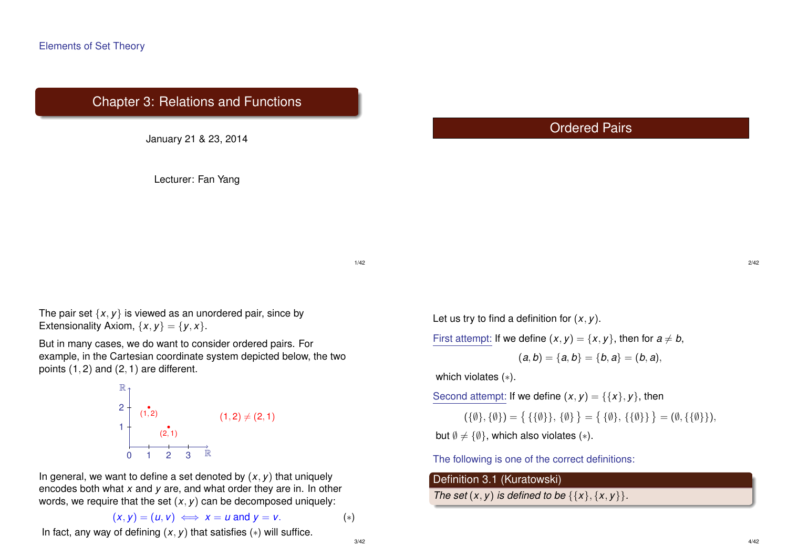# Chapter 3: Relations and Functions

January 21 & 23, 2014

Lecturer: Fan Yang

# Ordered Pairs

1/42

3/42

The pair set  $\{x, y\}$  is viewed as an unordered pair, since by Extensionality Axiom,  $\{x, y\} = \{y, x\}.$ 

But in many cases, we do want to consider ordered pairs. For example, in the Cartesian coordinate system depicted below, the two points (1, 2) and (2, 1) are different.



In general, we want to define a set denoted by  $(x, y)$  that uniquely encodes both what *x* and *y* are, and what order they are in. In other words, we require that the set (*x*, *y*) can be decomposed uniquely:

$$
(x,y)=(u,v)\iff x=u \text{ and } y=v. \tag{*}
$$

In fact, any way of defining  $(x, y)$  that satisfies  $(*)$  will suffice.

Let us try to find a definition for (*x*, *y*).

First attempt: If we define  $(x, y) = \{x, y\}$ , then for  $a \neq b$ ,

$$
(a,b)=\{a,b\}=\{b,a\}=(b,a),
$$

which violates (∗).

Second attempt: If we define  $(x, y) = \{\{x\}, y\}$ , then

 $(\{\emptyset\}, \{\emptyset\}) = \{ \{\{\emptyset\}\}, \{\emptyset\} \} = \{ \{\{\emptyset\}, \{\{\emptyset\}\}\} = (\emptyset, \{\{\emptyset\}\}),$ 

but  $\emptyset \neq {\emptyset}$ , which also violates (\*).

The following is one of the correct definitions:

#### Definition 3.1 (Kuratowski)

*The set*  $(x, y)$  *is defined to be*  $\{\{x\}, \{x, y\}\}.$ 

2/42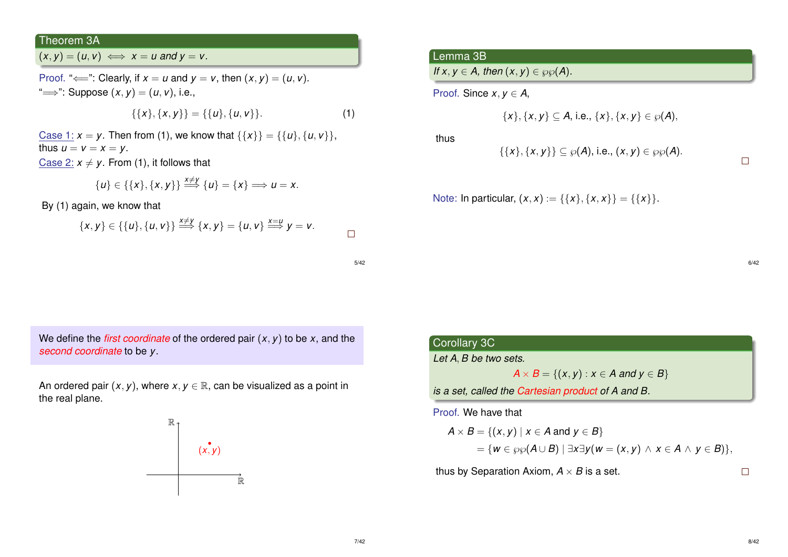## Theorem 3A

 $(x, y) = (u, v) \iff x = u$  and  $y = v$ .

Proof. " $\Longleftarrow$ ": Clearly, if  $x = u$  and  $y = v$ , then  $(x, y) = (u, v)$ . " $\Longrightarrow$ ": Suppose  $(x, y) = (u, v)$ , i.e.,

$$
\{\{x\},\{x,y\}\}=\{\{u\},\{u,v\}\}.
$$
 (1)

Case 1:  $x = y$ . Then from (1), we know that  $\{\{x\}\} = \{\{u\}, \{u, v\}\},\$ thus  $u = v = x = y$ . Case 2:  $x \neq y$ . From (1), it follows that

$$
\{u\} \in \{\{x\},\{x,y\}\} \stackrel{x \neq y}{\Longrightarrow} \{u\} = \{x\} \Longrightarrow u = x.
$$

By (1) again, we know that

$$
\{x,y\}\in\{\{u\},\{u,v\}\}\stackrel{x\neq y}{\Longrightarrow}\{x,y\}=\{u,v\}\stackrel{x=u}{\Longrightarrow}y=v.
$$

5/42

We define the *first coordinate* of the ordered pair  $(x, y)$  to be  $x$ , and the *second coordinate* to be *y*.

An ordered pair  $(x, y)$ , where  $x, y \in \mathbb{R}$ , can be visualized as a point in the real plane.



## Lemma 3B

*If*  $x, y \in A$ , then  $(x, y) \in \wp_{\varnothing}(A)$ .

Proof. Since  $x, y \in A$ ,

$$
\{x\}, \{x, y\} \subseteq A, \text{ i.e., } \{x\}, \{x, y\} \in \wp(A),
$$

thus

 $\{\{x\}, \{x, y\}\}\subseteq \wp(A)$ , i.e.,  $(x, y) \in \wp(\emptyset(A))$ .

Note: In particular,  $(x, x) := \{\{x\}, \{x, x\}\} = \{\{x\}\}.$ 

6/42

 $\Box$ 

| prollary 3C |  |  |
|-------------|--|--|
|             |  |  |

*Let A*, *B be two sets.*

 $\overline{C}$ 

*A* × *B* = {(*x*, *y*) : *x* ∈ *A* and *y* ∈ *B*}

*is a set, called the Cartesian product of A and B.*

Proof. We have that

$$
A \times B = \{(x, y) \mid x \in A \text{ and } y \in B\}
$$
  
= { $w \in \wp \wp(A \cup B) \mid \exists x \exists y (w = (x, y) \land x \in A \land y \in B)$ },

thus by Separation Axiom,  $A \times B$  is a set.

 $\Box$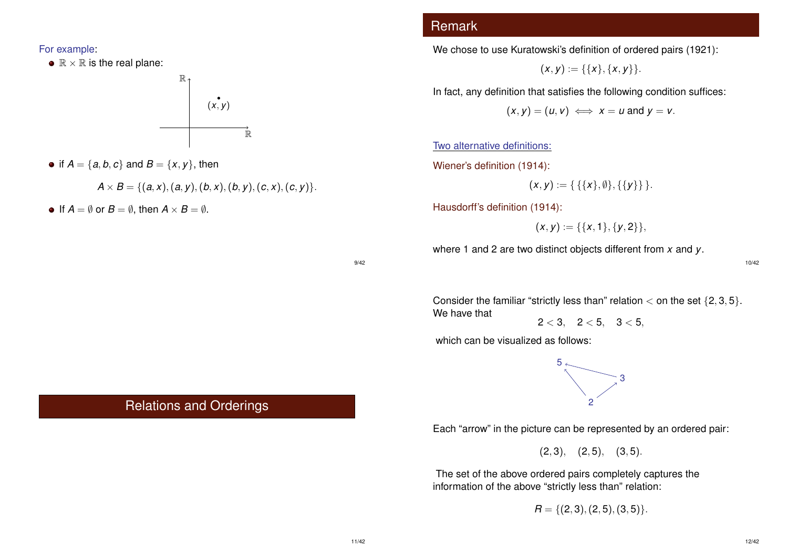For example:

 $\bullet \mathbb{R} \times \mathbb{R}$  is the real plane:



• if  $A = \{a, b, c\}$  and  $B = \{x, y\}$ , then

$$
A \times B = \{ (a, x), (a, y), (b, x), (b, y), (c, x), (c, y) \}.
$$

• If  $A = \emptyset$  or  $B = \emptyset$ , then  $A \times B = \emptyset$ .

# Remark

We chose to use Kuratowski's definition of ordered pairs (1921):

$$
(x,y):=\{\{x\},\{x,y\}\}.
$$

In fact, any definition that satisfies the following condition suffices:

$$
(x,y)=(u,v)\iff x=u \text{ and } y=v.
$$

Two alternative definitions:

Wiener's definition (1914):

$$
(x,y) := \{ \{ \{x\}, \emptyset \}, \{ \{y\} \} \}.
$$

Hausdorff's definition (1914):

$$
(x,y):=\{\{x,1\},\{y,2\}\},\
$$

where 1 and 2 are two distinct objects different from *x* and *y*.

9/42

10/42

Consider the familiar "strictly less than" relation  $<$  on the set  $\{2, 3, 5\}$ . We have that

 $2 < 3$ ,  $2 < 5$ ,  $3 < 5$ ,

which can be visualized as follows:



Each "arrow" in the picture can be represented by an ordered pair:

 $(2, 3), (2, 5), (3, 5).$ 

The set of the above ordered pairs completely captures the information of the above "strictly less than" relation:

 $R = \{(2, 3), (2, 5), (3, 5)\}.$ 

# Relations and Orderings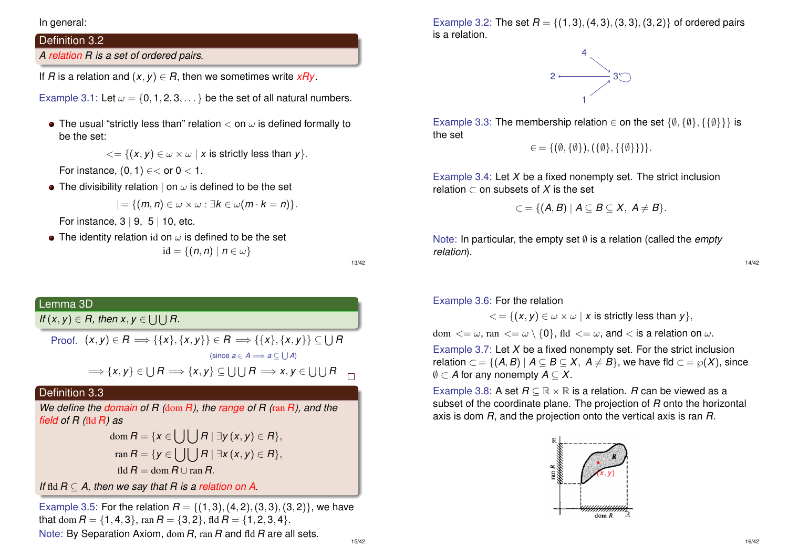In general:

# Definition 3.2

*A relation R is a set of ordered pairs.*

If *R* is a relation and  $(x, y) \in R$ , then we sometimes write  $xRy$ .

Example 3.1: Let  $\omega = \{0, 1, 2, 3, \dots\}$  be the set of all natural numbers.

• The usual "strictly less than" relation  $<$  on  $\omega$  is defined formally to be the set:

 $\langle \xi | \{ (x, y) \in \omega \times \omega \mid x \text{ is strictly less than } y \}.$ 

For instance,  $(0, 1) \in <$  or  $0 < 1$ .

• The divisibility relation  $\vert$  on  $\omega$  is defined to be the set

$$
|= \{ (m,n) \in \omega \times \omega : \exists k \in \omega(m \cdot k = n) \}.
$$

For instance,  $3 \mid 9, 5 \mid 10$ , etc.

• The identity relation id on  $\omega$  is defined to be the set  $id = \{(n, n) \mid n \in \omega\}$ 

13/42

# Lemma 3D

*If*  $(x, y) \in R$ , then  $x, y \in \bigcup \bigcup R$ .

 $\mathsf{Proof.} \;\; (x,y) \in R \Longrightarrow \{\{x\},\{x,y\}\} \in R \Longrightarrow \{\{x\},\{x,y\}\} \subseteq \bigcup R$  $(\textsf{since } a \in A \Longrightarrow a \subseteq \bigcup A)$ 

$$
\Longrightarrow \{x,y\} \in \bigcup R \Longrightarrow \{x,y\} \subseteq \bigcup \bigcup R \Longrightarrow x,y \in \bigcup \bigcup R
$$

## Definition 3.3

*We define the domain of R (*dom *R), the range of R (*ran *R), and the field of R (*fld *R) as*

$$
\text{dom}\,R = \{x \in \bigcup \bigcup R \mid \exists y \,(x,y) \in R\},\
$$
\n
$$
\text{ran}\,R = \{y \in \bigcup \bigcup R \mid \exists x \,(x,y) \in R\},\
$$
\n
$$
\text{fid}\,R = \text{dom}\,R \cup \text{ran}\,R.
$$

*If* fld *R* ⊆ *A, then we say that R is a relation on A.*

Example 3.5: For the relation  $R = \{(1, 3), (4, 2), (3, 3), (3, 2)\}$ , we have that dom  $R = \{1, 4, 3\}$ , ran  $R = \{3, 2\}$ , fld  $R = \{1, 2, 3, 4\}$ . Note: By Separation Axiom, dom *R*, ran *R* and fld *R* are all sets.

Example 3.2: The set  $R = \{(1, 3), (4, 3), (3, 3), (3, 2)\}$  of ordered pairs is a relation.



Example 3.3: The membership relation  $\in$  on the set  $\{\emptyset, \{\emptyset\}, \{\{\emptyset\}\}\}\$ is the set

$$
\in = \{(\emptyset, \{\emptyset\}), (\{\emptyset\}, \{\{\emptyset\}\})\}.
$$

Example 3.4: Let *X* be a fixed nonempty set. The strict inclusion relation  $\subset$  on subsets of X is the set

$$
\subset = \{ (A, B) \mid A \subseteq B \subseteq X, A \neq B \}.
$$

Note: In particular, the empty set ∅ is a relation (called the *empty relation*).

14/42

Example 3.6: For the relation

 $\langle \xi \rangle = \{ (x, y) \in \omega \times \omega \mid x \text{ is strictly less than } y \}.$ 

dom  $\langle \omega, \tan \langle \omega \rangle = \omega \setminus \{0\}, \text{fd} \langle \omega, \omega \rangle = \omega$ , and  $\langle \omega, \omega \rangle$ 

Example 3.7: Let *X* be a fixed nonempty set. For the strict inclusion relation  $\subset$  = {(*A*, *B*) |  $A \subseteq B \subseteq X$ ,  $A \neq B$ }, we have fld  $\subset$  =  $\wp(X)$ , since ∅ ⊂ *A* for any nonempty *A* ⊆ *X*.

Example 3.8: A set  $R \subseteq \mathbb{R} \times \mathbb{R}$  is a relation. *R* can be viewed as a subset of the coordinate plane. The projection of *R* onto the horizontal axis is dom *R*, and the projection onto the vertical axis is ran *R*.

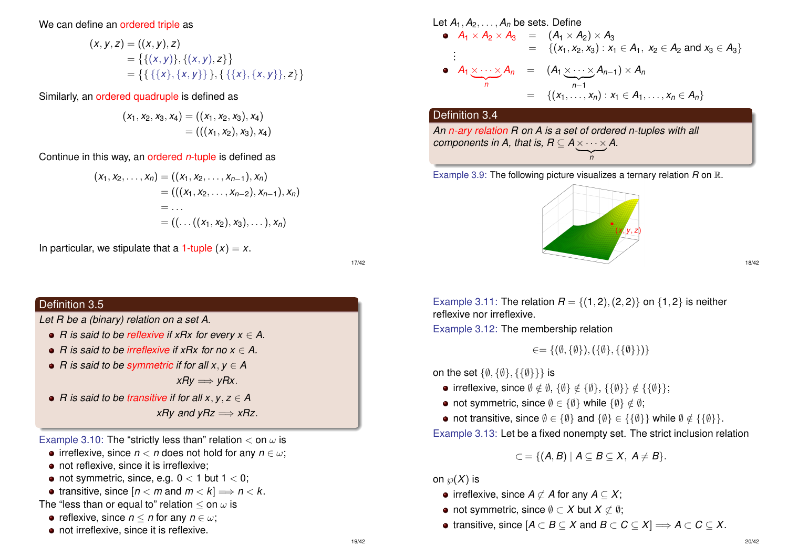#### We can define an ordered triple as

$$
(\mathbf{x}, \mathbf{y}, \mathbf{z}) = ((\mathbf{x}, \mathbf{y}), \mathbf{z})
$$
  
= { {(x, y)}, { (x, y), z}}  
= { { { { {x}, { {x}, { y}}} } }, { { { { { {x}, { { y}}} } }, { { { x, { y } } } } }, { { z } } }

Similarly, an ordered quadruple is defined as

$$
(x_1, x_2, x_3, x_4) = ((x_1, x_2, x_3), x_4)
$$
  
= (((x\_1, x\_2), x\_3), x\_4)

Continue in this way, an ordered *n*-tuple is defined as

$$
(x_1, x_2,..., x_n) = ((x_1, x_2,..., x_{n-1}), x_n)
$$
  
= (((x\_1, x\_2,..., x\_{n-2}), x\_{n-1}), x\_n)  
= ...  
= ((...(x\_1, x\_2), x\_3),...), x\_n)

In particular, we stipulate that a 1-tuple  $(x) = x$ .

17/42

## Definition 3.5

*Let R be a (binary) relation on a set A.*

- *R* is said to be *reflexive* if xRx for every  $x \in A$ .
- *R is said to be irreflexive if xRx for no x* ∈ *A.*
- *R* is said to be *symmetric* if for all  $x, y \in A$

 $xRy \Longrightarrow yRx$ .

*R is said to be transitive if for all x*, *y*, *z* ∈ *A xRv* and  $vRz \implies xRz$ .

Example 3.10: The "strictly less than" relation  $<$  on  $\omega$  is

- irreflexive, since  $n < n$  does not hold for any  $n \in \omega$ ;
- not reflexive, since it is irreflexive;
- not symmetric, since, e.g.  $0 < 1$  but  $1 < 0$ ;
- transitive, since  $[n < m$  and  $m < k$  =  $n < k$ .
- The "less than or equal to" relation  $\leq$  on  $\omega$  is
	- reflexive, since  $n < n$  for any  $n \in \omega$ ;
	- not irreflexive, since it is reflexive.

Let 
$$
A_1, A_2, ..., A_n
$$
 be sets. Define  
\n•  $A_1 \times A_2 \times A_3 = (A_1 \times A_2) \times A_3$   
\n $\vdots$  { $(x_1, x_2, x_3) : x_1 \in A_1, x_2 \in A_2$  and  $x_3 \in A_3$ }  
\n•  $A_1 \times ... \times A_n = (A_1 \times ... \times A_{n-1}) \times A_n$   
\n $\qquad = \{(x_1, ..., x_n) : x_1 \in A_1, ..., x_n \in A_n\}$ 

#### Definition 3.4

*An n-ary relation R on A is a set of ordered n-tuples with all components in A, that is, R*  $\subseteq$  *A*  $\times \cdots \times$  *A.*  $\overline{\phantom{a}}_{n}$ *n*

Example 3.9: The following picture visualizes a ternary relation *R* on R.



Example 3.11: The relation  $R = \{(1, 2), (2, 2)\}$  on  $\{1, 2\}$  is neither reflexive nor irreflexive.

Example 3.12: The membership relation

$$
\in = \{ (\emptyset, \{\emptyset\}), (\{\emptyset\}, \{\{\emptyset\}\}) \}
$$

on the set  $\{\emptyset, \{\emptyset\}, \{\{\emptyset\}\}\}\$ is

- irreflexive, since  $\emptyset \notin \emptyset$ ,  $\{\emptyset\} \notin \{\emptyset\}$ ,  $\{\{\emptyset\}\} \notin \{\{\emptyset\}\};$
- not symmetric, since  $\emptyset \in {\emptyset}$  while  $\{\emptyset\} \notin \emptyset$ ;
- not transitive, since  $\emptyset \in {\emptyset}$  and  $\{\emptyset\} \in {\{\emptyset\}}$  while  $\emptyset \notin {\{\emptyset\}}$ .

Example 3.13: Let be a fixed nonempty set. The strict inclusion relation

$$
\subset = \{ (A, B) \mid A \subseteq B \subseteq X, A \neq B \}.
$$

on  $\wp(X)$  is

- $\bullet$  irreflexive, since *A*  $\subset$  *A* for any *A* ⊂ *X*;
- not symmetric, since  $\emptyset \subset X$  but  $X \subset \emptyset$ ;
- $\bullet$  transitive, since  $[A \subset B \subseteq X \text{ and } B \subset C \subseteq X] \Longrightarrow A \subset C \subseteq X$ .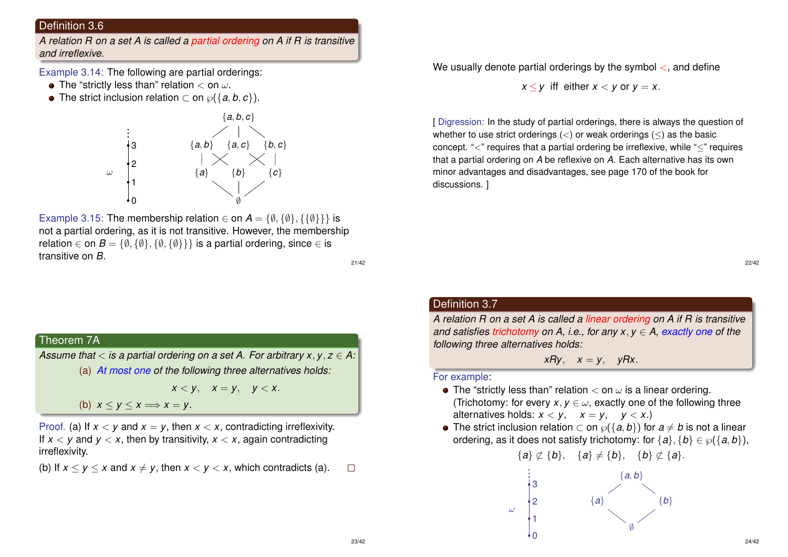#### Definition 3.6

*A relation R on a set A is called a partial ordering on A if R is transitive and irreflexive.*

Example 3.14: The following are partial orderings:

- The "strictly less than" relation  $<$  on  $\omega$ .
- $\bullet$  The strict inclusion relation ⊂ on  $\wp$  {{a, b, c}).



Example 3.15: The membership relation  $\in$  on  $A = \{\emptyset, \{\emptyset\}, \{\{\emptyset\}\}\}\$ is not a partial ordering, as it is not transitive. However, the membership relation  $\in$  on  $B = \{\emptyset, \{\emptyset\}, \{\emptyset, \{\emptyset\}\}\}\$ is a partial ordering, since  $\in$  is transitive on *B*.

21/42

## Theorem 7A

*Assume that* < *is a partial ordering on a set A. For arbitrary x*, *y*, *z* ∈ *A:* (a) *At most one of the following three alternatives holds:*

$$
x
$$

(b)  $x < y < x \implies x = y$ .

Proof. (a) If  $x < y$  and  $x = y$ , then  $x < x$ , contradicting irreflexivity. If  $x < y$  and  $y < x$ , then by transitivity,  $x < x$ , again contradicting irreflexivity.

(b) If  $x < y < x$  and  $x \neq y$ , then  $x < y < x$ , which contradicts (a).  $\Box$  We usually denote partial orderings by the symbol  $\lt$ , and define

 $x < y$  iff either  $x < y$  or  $y = x$ .

[ Digression: In the study of partial orderings, there is always the question of whether to use strict orderings  $\langle \langle \rangle$  or weak orderings  $\langle \langle \rangle$  as the basic concept. "<" requires that a partial ordering be irreflexive, while "≤" requires that a partial ordering on *A* be reflexive on *A*. Each alternative has its own minor advantages and disadvantages, see page 170 of the book for discussions. ]

22/42

## Definition 3.7

*A relation R on a set A is called a linear ordering on A if R is transitive and satisfies trichotomy on A, i.e., for any x*, *y* ∈ *A, exactly one of the following three alternatives holds:*

*xRy*,  $x = y$ ,  $yRx$ .

For example:

- The "strictly less than" relation  $<$  on  $\omega$  is a linear ordering. (Trichotomy: for every  $x, y \in \omega$ , exactly one of the following three alternatives holds:  $x < y$ ,  $x = y$ ,  $y < x$ .)
- The strict inclusion relation  $\subset$  on  $\wp({a,b})$  for  $a \neq b$  is not a linear ordering, as it does not satisfy trichotomy: for  $\{a\}, \{b\} \in \wp(\{a, b\})$ ,

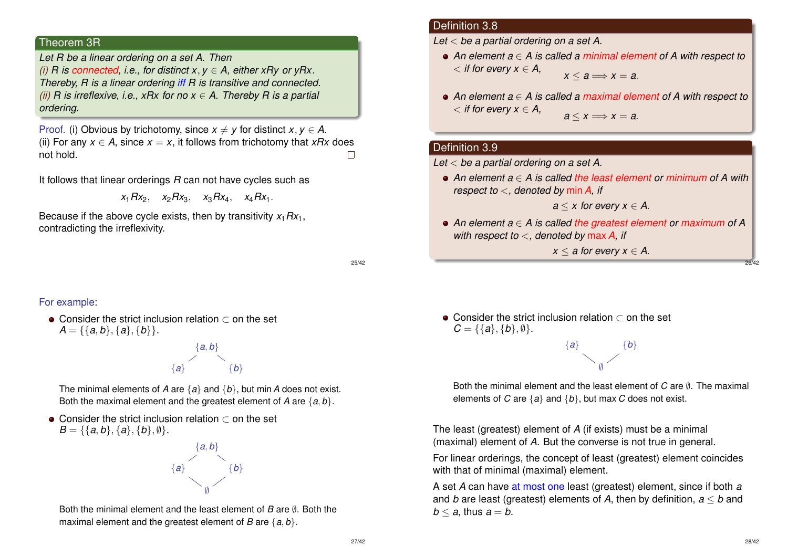#### Theorem 3R

*Let R be a linear ordering on a set A. Then (i) R is connected, i.e., for distinct x*, *y* ∈ *A, either xRy or yRx. Thereby, R is a linear ordering iff R is transitive and connected. (ii) R is irreflexive, i.e., xRx for no x* ∈ *A. Thereby R is a partial ordering.*

Proof. (i) Obvious by trichotomy, since  $x \neq y$  for distinct  $x, y \in A$ . (ii) For any  $x \in A$ , since  $x = x$ , it follows from trichotomy that *xRx* does not hold.  $\Box$ 

It follows that linear orderings *R* can not have cycles such as

 $x_1 R x_2$ ,  $x_2 R x_3$ ,  $x_3 R x_4$ ,  $x_4 R x_1$ .

Because if the above cycle exists, then by transitivity  $x_1Rx_1$ , contradicting the irreflexivity.

25/42

#### For example:

Consider the strict inclusion relation ⊂ on the set  $A = \{\{a, b\}, \{a\}, \{b\}\}.$ 

> $\{a, b\}$ { $a$ } { $b$ }

The minimal elements of *A* are {*a*} and {*b*}, but min*A* does not exist. Both the maximal element and the greatest element of *A* are {*a*, *b*}.

• Consider the strict inclusion relation  $\subset$  on the set  $B = \{\{a, b\}, \{a\}, \{b\}, \emptyset\}.$ 



Both the minimal element and the least element of *B* are ∅. Both the maximal element and the greatest element of *B* are {*a*, *b*}.

#### Definition 3.8

*Let* < *be a partial ordering on a set A.*

- *An element a* ∈ *A is called a minimal element of A with respect to*  $\langle$  *if for every*  $x \in A$ *,*  $x < a \Longrightarrow x = a$ .
- *An element a* ∈ *A is called a maximal element of A with respect to*  $\langle$  *if for every*  $x \in A$ *,*  $a \leq x \Longrightarrow x = a$ .

#### Definition 3.9

*Let* < *be a partial ordering on a set A.*

*An element a* ∈ *A is called the least element or minimum of A with respect to* <*, denoted by* min*A, if*

 $a \leq x$  for every  $x \in A$ .

*An element a* ∈ *A is called the greatest element or maximum of A with respect to* <*, denoted by* max*A, if*

 $x < a$  for every  $x \in A$ .

26/42

Consider the strict inclusion relation ⊂ on the set  $C = \{\{a\}, \{b\}, \emptyset\}.$ 

> { $a$ } { $b$ }  $\emptyset$

Both the minimal element and the least element of  $C$  are  $\emptyset$ . The maximal elements of *C* are {*a*} and {*b*}, but max *C* does not exist.

The least (greatest) element of *A* (if exists) must be a minimal (maximal) element of *A*. But the converse is not true in general.

For linear orderings, the concept of least (greatest) element coincides with that of minimal (maximal) element.

A set *A* can have at most one least (greatest) element, since if both *a* and *b* are least (greatest) elements of *A*, then by definition, *a* ≤ *b* and  $b < a$ , thus  $a = b$ .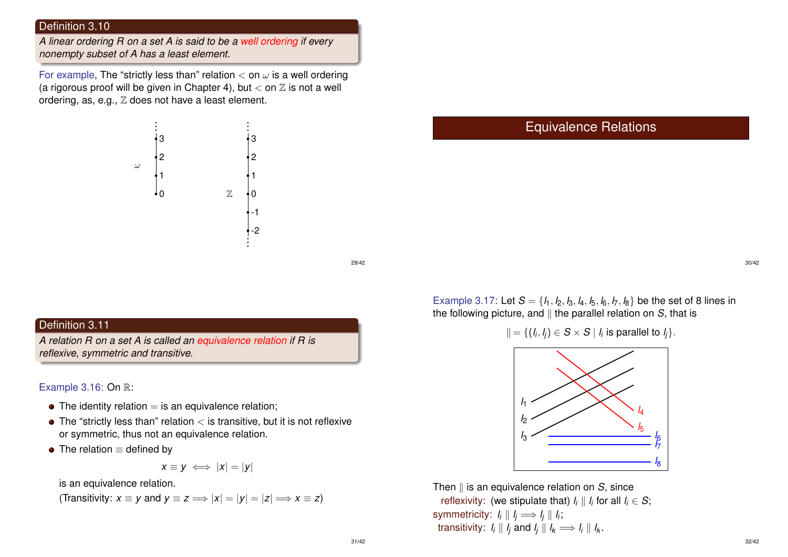#### Definition 3.10

*A linear ordering R on a set A is said to be a well ordering if every nonempty subset of A has a least element.*

For example, The "strictly less than" relation  $<$  on  $\omega$  is a well ordering (a rigorous proof will be given in Chapter 4), but  $<$  on  $\mathbb Z$  is not a well ordering, as, e.g.,  $\mathbb Z$  does not have a least element.



29/42

# Definition 3.11

*A relation R on a set A is called an equivalence relation if R is reflexive, symmetric and transitive.*

Example 3.16: On R:

- $\bullet$  The identity relation  $=$  is an equivalence relation;
- $\bullet$  The "strictly less than" relation  $\lt$  is transitive, but it is not reflexive or symmetric, thus not an equivalence relation.
- $\bullet$  The relation  $\equiv$  defined by

$$
x \equiv y \iff |x| = |y|
$$

is an equivalence relation.

(Transitivity: 
$$
x \equiv y
$$
 and  $y \equiv z \Longrightarrow |x| = |y| = |z| \Longrightarrow x \equiv z$ )

# Equivalence Relations

30/42

Example 3.17: Let  $S = \{l_1, l_2, l_3, l_4, l_5, l_6, l_7, l_8\}$  be the set of 8 lines in the following picture, and  $\parallel$  the parallel relation on *S*, that is



Then II is an equivalence relation on *S*, since reflexivity: (we stipulate that)  $l_i \parallel l_i$  for all  $l_i \in \mathcal{S};$ symmetricity:  $I_i \parallel I_j \Longrightarrow I_j \parallel I_i$ ; transitivity: *l<sub>i</sub>*  $\parallel$  *l<sub>j</sub>* and *l<sub>j</sub>*  $\parallel$  *l<sub>k</sub>*  $\Longrightarrow$  *l<sub>i</sub>*  $\parallel$  *l<sub>k</sub>*.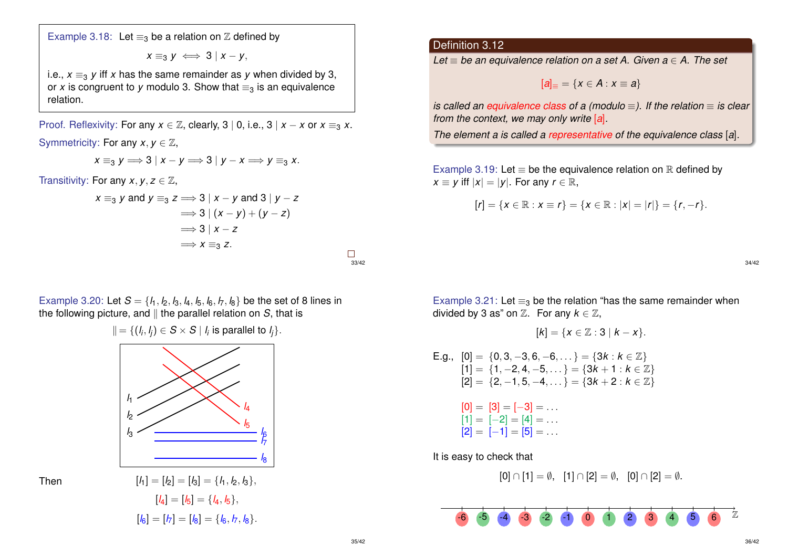Example 3.18: Let  $\equiv_3$  be a relation on  $\mathbb Z$  defined by

$$
x \equiv_3 y \iff 3 \mid x - y,
$$

i.e.,  $x \equiv_3 y$  iff *x* has the same remainder as *y* when divided by 3, or *x* is congruent to *y* modulo 3. Show that  $\equiv_3$  is an equivalence relation.

Proof. Reflexivity: For any  $x \in \mathbb{Z}$ , clearly, 3 | 0, i.e., 3 |  $x - x$  or  $x \equiv_3 x$ .

Symmetricity: For any  $x, y \in \mathbb{Z}$ ,

$$
x \equiv_3 y \Longrightarrow 3 \mid x - y \Longrightarrow 3 \mid y - x \Longrightarrow y \equiv_3 x.
$$

Transitivity: For any  $x, y, z \in \mathbb{Z}$ ,

$$
x \equiv_3 y \text{ and } y \equiv_3 z \Longrightarrow 3 \mid x - y \text{ and } 3 \mid y - z
$$
  

$$
\Longrightarrow 3 \mid (x - y) + (y - z)
$$
  

$$
\Longrightarrow 3 \mid x - z
$$
  

$$
\Longrightarrow x \equiv_3 z.
$$

Example 3.20: Let  $S = \{l_1, l_2, l_3, l_4, l_5, l_6, l_7, l_8\}$  be the set of 8 lines in the following picture, and  $\parallel$  the parallel relation on *S*, that is



$$
[l_1] = [l_2] = [l_3] = \{l_1, l_2, l_3\},
$$

$$
[l_4] = [l_5] = \{l_4, l_5\},
$$

$$
[l_6] = [l_7] = [l_8] = \{l_6, l_7, l_8\}.
$$

## Definition 3.12

*Let* ≡ *be an equivalence relation on a set A. Given a* ∈ *A. The set*

$$
[a]_{\equiv} = \{x \in A : x \equiv a\}
$$

*is called an equivalence class of a (modulo* ≡). If the relation ≡ *is clear from the context, we may only write* [*a*]*.*

*The element a is called a representative of the equivalence class* [*a*]*.*

Example 3.19: Let  $\equiv$  be the equivalence relation on  $\mathbb R$  defined by *x*  $\equiv$  *y* iff  $|x| = |y|$ . For any *r*  $\in \mathbb{R}$ ,

$$
[r] = \{x \in \mathbb{R} : x \equiv r\} = \{x \in \mathbb{R} : |x| = |r|\} = \{r, -r\}.
$$

34/42

Example 3.21: Let  $\equiv_3$  be the relation "has the same remainder when divided by 3 as" on  $\mathbb Z$ . For any  $k \in \mathbb Z$ ,

$$
[k]=\{x\in\mathbb{Z}:3\mid k-x\}.
$$

E.g., 
$$
[0] = \{0, 3, -3, 6, -6, ...\} = \{3k : k \in \mathbb{Z}\}
$$
  
\n $[1] = \{1, -2, 4, -5, ...\} = \{3k + 1 : k \in \mathbb{Z}\}$   
\n $[2] = \{2, -1, 5, -4, ...\} = \{3k + 2 : k \in \mathbb{Z}\}$   
\n $[0] = [3] = [-3] = ...$   
\n $[1] = [-2] = [4] = ...$   
\n $[2] = [-1] = [5] = ...$ 

It is easy to check that

$$
[0] \cap [1] = \emptyset, [1] \cap [2] = \emptyset, [0] \cap [2] = \emptyset.
$$



33/42

 $\Box$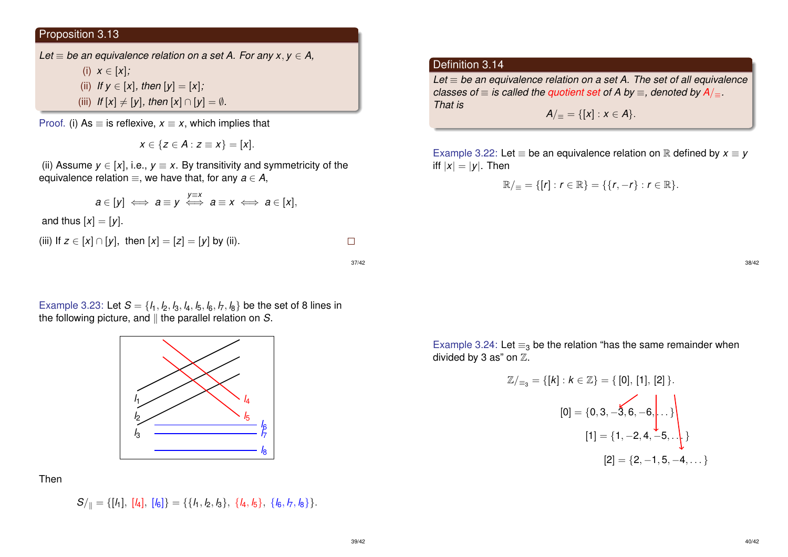## Proposition 3.13

*Let*  $\equiv$  *be an equivalence relation on a set A. For any x, y*  $\in$  *A,* 

(i)  $x \in [x]$ ; (ii) *If*  $y \in [x]$ *, then*  $[y] = [x]$ *;* (iii) *If*  $[x] \neq [y]$ *, then*  $[x] \cap [y] = \emptyset$ *.* 

Proof. (i) As  $\equiv$  is reflexive,  $x \equiv x$ , which implies that

*x* ∈ {*z* ∈ *A* : *z* ≡ *x*} = [*x*].

(ii) Assume  $y \in [x]$ , i.e.,  $y \equiv x$ . By transitivity and symmetricity of the equivalence relation  $\equiv$ , we have that, for any  $a \in A$ .

$$
a\in[y]\iff a\equiv y\iff a\equiv x\iff a\in[x],
$$

and thus  $[x] = [y]$ .

(iii) If 
$$
z \in [x] \cap [y]
$$
, then  $[x] = [z] = [y]$  by (ii).

37/42

 $\Box$ 

## Example 3.23: Let  $S = \{l_1, l_2, l_3, l_4, l_5, l_6, l_7, l_8\}$  be the set of 8 lines in the following picture, and  $\parallel$  the parallel relation on  $S$ .



Then

 $S/\mathbf{k} = \{[l_1], [l_4], [l_6]\} = \{\{l_1, l_2, l_3\}, \{l_4, l_5\}, \{l_6, l_7, l_8\}\}.$ 

### Definition 3.14

*Let* ≡ *be an equivalence relation on a set A. The set of all equivalence classes of*  $\equiv$  *is called the quotient set of A by*  $\equiv$  *, denoted by A/* $=$ *. That is A*/ $=$  = {[*x*] : *x*  $\in$  *A*}.

Example 3.22: Let  $\equiv$  be an equivalence relation on  $\mathbb R$  defined by  $x \equiv y$ iff  $|x| = |y|$ . Then

$$
\mathbb{R}/_{\equiv} = \{ [r] : r \in \mathbb{R} \} = \{ \{r, -r\} : r \in \mathbb{R} \}.
$$

38/42

Example 3.24: Let  $\equiv_3$  be the relation "has the same remainder when divided by 3 as" on  $\mathbb{Z}$ .

$$
\mathbb{Z}/_{\equiv_3} = \{ [k] : k \in \mathbb{Z} \} = \{ [0], [1], [2] \}.
$$

$$
[0] = \{ 0, 3, -\overline{3}, 6, -6, \dots \}.
$$

$$
[1] = \{ 1, -2, 4, -5, \dots \}
$$

$$
[2] = \{ 2, -1, 5, -4, \dots \}
$$